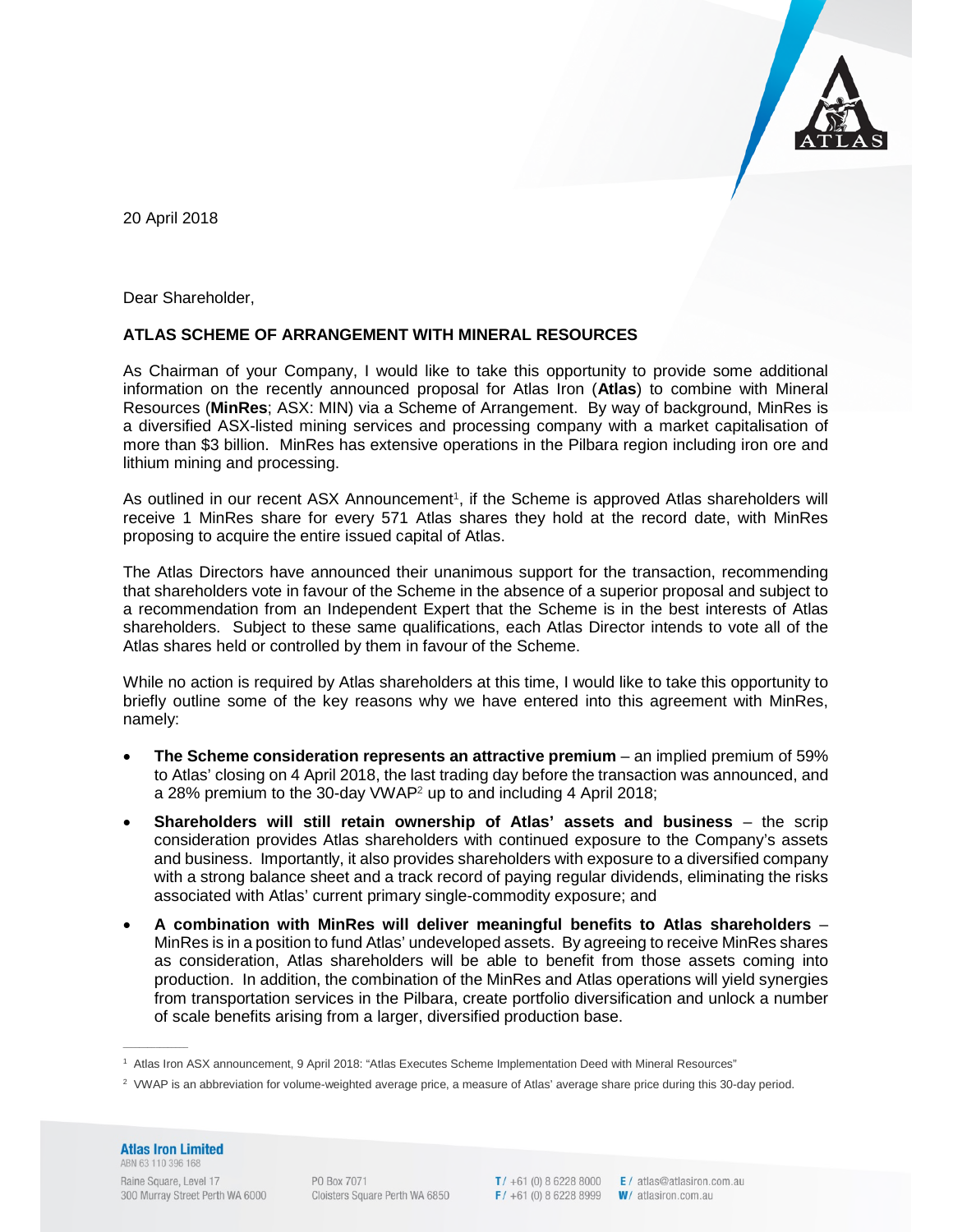

20 April 2018

Dear Shareholder,

## **ATLAS SCHEME OF ARRANGEMENT WITH MINERAL RESOURCES**

As Chairman of your Company, I would like to take this opportunity to provide some additional information on the recently announced proposal for Atlas Iron (**Atlas**) to combine with Mineral Resources (**MinRes**; ASX: MIN) via a Scheme of Arrangement. By way of background, MinRes is a diversified ASX-listed mining services and processing company with a market capitalisation of more than \$3 billion. MinRes has extensive operations in the Pilbara region including iron ore and lithium mining and processing.

As outlined in our recent ASX Announcement<sup>1</sup>, if the Scheme is approved Atlas shareholders will receive 1 MinRes share for every 571 Atlas shares they hold at the record date, with MinRes proposing to acquire the entire issued capital of Atlas.

The Atlas Directors have announced their unanimous support for the transaction, recommending that shareholders vote in favour of the Scheme in the absence of a superior proposal and subject to a recommendation from an Independent Expert that the Scheme is in the best interests of Atlas shareholders. Subject to these same qualifications, each Atlas Director intends to vote all of the Atlas shares held or controlled by them in favour of the Scheme.

While no action is required by Atlas shareholders at this time, I would like to take this opportunity to briefly outline some of the key reasons why we have entered into this agreement with MinRes, namely:

- **The Scheme consideration represents an attractive premium** an implied premium of 59% to Atlas' closing on 4 April 2018, the last trading day before the transaction was announced, and a 28% premium to the 30-day VWAP<sup>2</sup> up to and including 4 April 2018;
- **Shareholders will still retain ownership of Atlas' assets and business**  the scrip consideration provides Atlas shareholders with continued exposure to the Company's assets and business. Importantly, it also provides shareholders with exposure to a diversified company with a strong balance sheet and a track record of paying regular dividends, eliminating the risks associated with Atlas' current primary single-commodity exposure; and
- **A combination with MinRes will deliver meaningful benefits to Atlas shareholders** MinRes is in a position to fund Atlas' undeveloped assets. By agreeing to receive MinRes shares as consideration, Atlas shareholders will be able to benefit from those assets coming into production. In addition, the combination of the MinRes and Atlas operations will yield synergies from transportation services in the Pilbara, create portfolio diversification and unlock a number of scale benefits arising from a larger, diversified production base.

## **Atlas Iron Limited** ABN 63 110 396 168

 $\frac{1}{2}$ 

Raine Square, Level 17 300 Murray Street Perth WA 6000

PO Box 7071 Cloisters Square Perth WA 6850 F/ +61 (0) 8 6228 8999  $W/$  atlasiron.com.au

T/ +61 (0) 8 6228 8000 **E**/ atlas@atlasiron.com.au

<sup>1</sup> Atlas Iron ASX announcement, 9 April 2018: "Atlas Executes Scheme Implementation Deed with Mineral Resources"

<sup>&</sup>lt;sup>2</sup> VWAP is an abbreviation for volume-weighted average price, a measure of Atlas' average share price during this 30-day period.